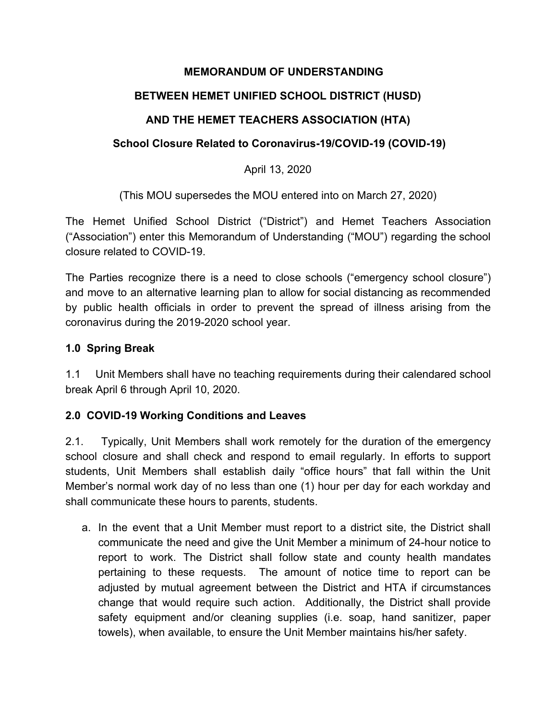#### **MEMORANDUM OF UNDERSTANDING**

## **BETWEEN HEMET UNIFIED SCHOOL DISTRICT (HUSD)**

## **AND THE HEMET TEACHERS ASSOCIATION (HTA)**

#### **School Closure Related to Coronavirus-19/COVID-19 (COVID-19)**

#### April 13, 2020

(This MOU supersedes the MOU entered into on March 27, 2020)

The Hemet Unified School District ("District") and Hemet Teachers Association ("Association") enter this Memorandum of Understanding ("MOU") regarding the school closure related to COVID-19.

The Parties recognize there is a need to close schools ("emergency school closure") and move to an alternative learning plan to allow for social distancing as recommended by public health officials in order to prevent the spread of illness arising from the coronavirus during the 2019-2020 school year.

#### **1.0 Spring Break**

1.1 Unit Members shall have no teaching requirements during their calendared school break April 6 through April 10, 2020.

## **2.0 COVID-19 Working Conditions and Leaves**

2.1. Typically, Unit Members shall work remotely for the duration of the emergency school closure and shall check and respond to email regularly. In efforts to support students, Unit Members shall establish daily "office hours" that fall within the Unit Member's normal work day of no less than one (1) hour per day for each workday and shall communicate these hours to parents, students.

a. In the event that a Unit Member must report to a district site, the District shall communicate the need and give the Unit Member a minimum of 24-hour notice to report to work. The District shall follow state and county health mandates pertaining to these requests. The amount of notice time to report can be adjusted by mutual agreement between the District and HTA if circumstances change that would require such action. Additionally, the District shall provide safety equipment and/or cleaning supplies (i.e. soap, hand sanitizer, paper towels), when available, to ensure the Unit Member maintains his/her safety.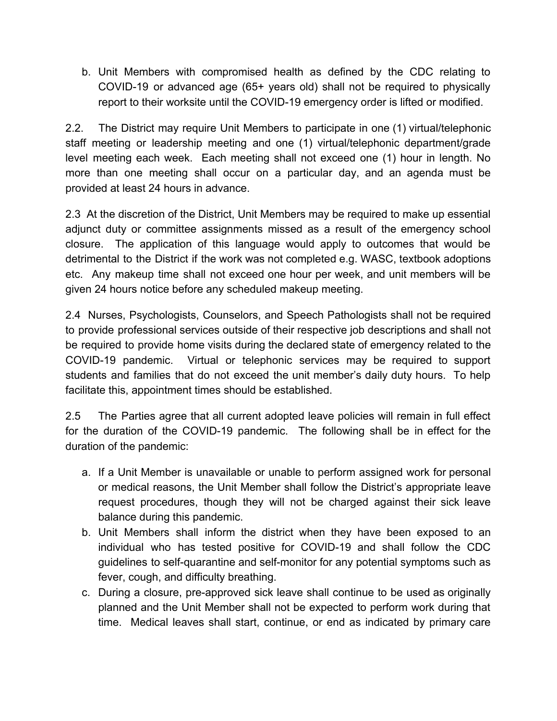b. Unit Members with compromised health as defined by the CDC relating to COVID-19 or advanced age (65+ years old) shall not be required to physically report to their worksite until the COVID-19 emergency order is lifted or modified.

2.2. The District may require Unit Members to participate in one (1) virtual/telephonic staff meeting or leadership meeting and one (1) virtual/telephonic department/grade level meeting each week. Each meeting shall not exceed one (1) hour in length. No more than one meeting shall occur on a particular day, and an agenda must be provided at least 24 hours in advance.

2.3 At the discretion of the District, Unit Members may be required to make up essential adjunct duty or committee assignments missed as a result of the emergency school closure. The application of this language would apply to outcomes that would be detrimental to the District if the work was not completed e.g. WASC, textbook adoptions etc. Any makeup time shall not exceed one hour per week, and unit members will be given 24 hours notice before any scheduled makeup meeting.

2.4 Nurses, Psychologists, Counselors, and Speech Pathologists shall not be required to provide professional services outside of their respective job descriptions and shall not be required to provide home visits during the declared state of emergency related to the COVID-19 pandemic. Virtual or telephonic services may be required to support students and families that do not exceed the unit member's daily duty hours. To help facilitate this, appointment times should be established.

2.5 The Parties agree that all current adopted leave policies will remain in full effect for the duration of the COVID-19 pandemic. The following shall be in effect for the duration of the pandemic:

- a. If a Unit Member is unavailable or unable to perform assigned work for personal or medical reasons, the Unit Member shall follow the District's appropriate leave request procedures, though they will not be charged against their sick leave balance during this pandemic.
- b. Unit Members shall inform the district when they have been exposed to an individual who has tested positive for COVID-19 and shall follow the CDC guidelines to self-quarantine and self-monitor for any potential symptoms such as fever, cough, and difficulty breathing.
- c. During a closure, pre-approved sick leave shall continue to be used as originally planned and the Unit Member shall not be expected to perform work during that time. Medical leaves shall start, continue, or end as indicated by primary care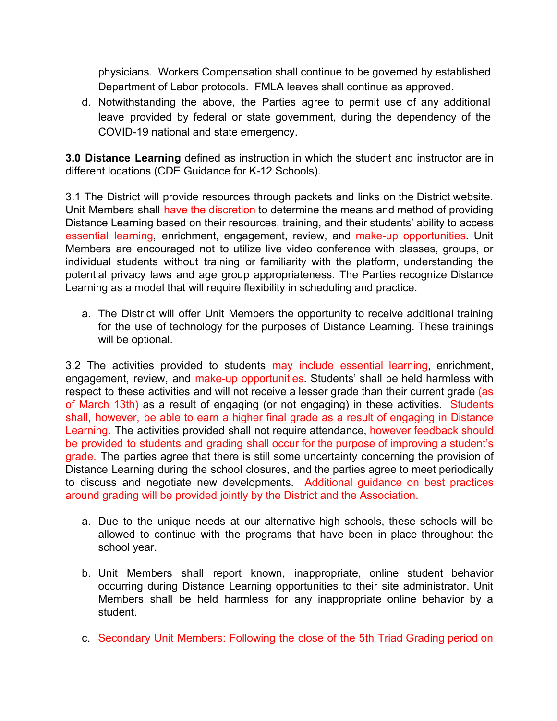physicians. Workers Compensation shall continue to be governed by established Department of Labor protocols. FMLA leaves shall continue as approved.

d. Notwithstanding the above, the Parties agree to permit use of any additional leave provided by federal or state government, during the dependency of the COVID-19 national and state emergency.

**3.0 Distance Learning** defined as instruction in which the student and instructor are in different locations (CDE Guidance for K-12 Schools).

3.1 The District will provide resources through packets and links on the District website. Unit Members shall have the discretion to determine the means and method of providing Distance Learning based on their resources, training, and their students' ability to access essential learning, enrichment, engagement, review, and make-up opportunities. Unit Members are encouraged not to utilize live video conference with classes, groups, or individual students without training or familiarity with the platform, understanding the potential privacy laws and age group appropriateness. The Parties recognize Distance Learning as a model that will require flexibility in scheduling and practice.

a. The District will offer Unit Members the opportunity to receive additional training for the use of technology for the purposes of Distance Learning. These trainings will be optional.

3.2 The activities provided to students may include essential learning, enrichment, engagement, review, and make-up opportunities. Students' shall be held harmless with respect to these activities and will not receive a lesser grade than their current grade (as of March 13th) as a result of engaging (or not engaging) in these activities. Students shall, however, be able to earn a higher final grade as a result of engaging in Distance Learning**.** The activities provided shall not require attendance, however feedback should be provided to students and grading shall occur for the purpose of improving a student's grade. The parties agree that there is still some uncertainty concerning the provision of Distance Learning during the school closures, and the parties agree to meet periodically to discuss and negotiate new developments. Additional guidance on best practices around grading will be provided jointly by the District and the Association.

- a. Due to the unique needs at our alternative high schools, these schools will be allowed to continue with the programs that have been in place throughout the school year.
- b. Unit Members shall report known, inappropriate, online student behavior occurring during Distance Learning opportunities to their site administrator. Unit Members shall be held harmless for any inappropriate online behavior by a student.
- c. Secondary Unit Members: Following the close of the 5th Triad Grading period on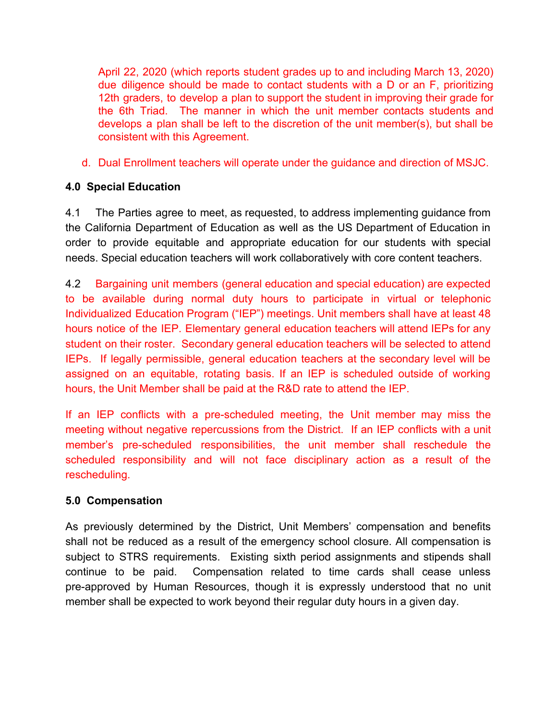April 22, 2020 (which reports student grades up to and including March 13, 2020) due diligence should be made to contact students with a D or an F, prioritizing 12th graders, to develop a plan to support the student in improving their grade for the 6th Triad. The manner in which the unit member contacts students and develops a plan shall be left to the discretion of the unit member(s), but shall be consistent with this Agreement.

d. Dual Enrollment teachers will operate under the guidance and direction of MSJC.

## **4.0 Special Education**

4.1 The Parties agree to meet, as requested, to address implementing guidance from the California Department of Education as well as the US Department of Education in order to provide equitable and appropriate education for our students with special needs. Special education teachers will work collaboratively with core content teachers.

4.2 Bargaining unit members (general education and special education) are expected to be available during normal duty hours to participate in virtual or telephonic Individualized Education Program ("IEP") meetings. Unit members shall have at least 48 hours notice of the IEP. Elementary general education teachers will attend IEPs for any student on their roster. Secondary general education teachers will be selected to attend IEPs. If legally permissible, general education teachers at the secondary level will be assigned on an equitable, rotating basis. If an IEP is scheduled outside of working hours, the Unit Member shall be paid at the R&D rate to attend the IEP.

If an IEP conflicts with a pre-scheduled meeting, the Unit member may miss the meeting without negative repercussions from the District. If an IEP conflicts with a unit member's pre-scheduled responsibilities, the unit member shall reschedule the scheduled responsibility and will not face disciplinary action as a result of the rescheduling.

#### **5.0 Compensation**

As previously determined by the District, Unit Members' compensation and benefits shall not be reduced as a result of the emergency school closure. All compensation is subject to STRS requirements. Existing sixth period assignments and stipends shall continue to be paid. Compensation related to time cards shall cease unless pre-approved by Human Resources, though it is expressly understood that no unit member shall be expected to work beyond their regular duty hours in a given day.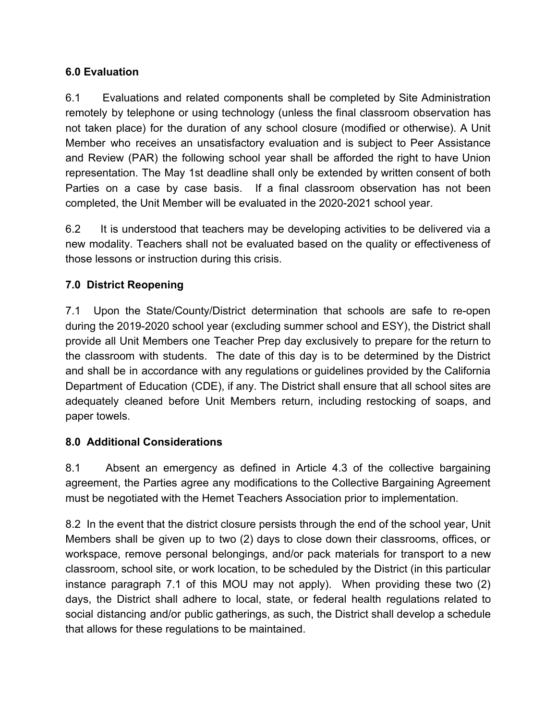## **6.0 Evaluation**

6.1 Evaluations and related components shall be completed by Site Administration remotely by telephone or using technology (unless the final classroom observation has not taken place) for the duration of any school closure (modified or otherwise). A Unit Member who receives an unsatisfactory evaluation and is subject to Peer Assistance and Review (PAR) the following school year shall be afforded the right to have Union representation. The May 1st deadline shall only be extended by written consent of both Parties on a case by case basis. If a final classroom observation has not been completed, the Unit Member will be evaluated in the 2020-2021 school year.

6.2 It is understood that teachers may be developing activities to be delivered via a new modality. Teachers shall not be evaluated based on the quality or effectiveness of those lessons or instruction during this crisis.

# **7.0 District Reopening**

7.1 Upon the State/County/District determination that schools are safe to re-open during the 2019-2020 school year (excluding summer school and ESY), the District shall provide all Unit Members one Teacher Prep day exclusively to prepare for the return to the classroom with students. The date of this day is to be determined by the District and shall be in accordance with any regulations or guidelines provided by the California Department of Education (CDE), if any. The District shall ensure that all school sites are adequately cleaned before Unit Members return, including restocking of soaps, and paper towels.

# **8.0 Additional Considerations**

8.1 Absent an emergency as defined in Article 4.3 of the collective bargaining agreement, the Parties agree any modifications to the Collective Bargaining Agreement must be negotiated with the Hemet Teachers Association prior to implementation.

8.2 In the event that the district closure persists through the end of the school year, Unit Members shall be given up to two (2) days to close down their classrooms, offices, or workspace, remove personal belongings, and/or pack materials for transport to a new classroom, school site, or work location, to be scheduled by the District (in this particular instance paragraph 7.1 of this MOU may not apply). When providing these two (2) days, the District shall adhere to local, state, or federal health regulations related to social distancing and/or public gatherings, as such, the District shall develop a schedule that allows for these regulations to be maintained.